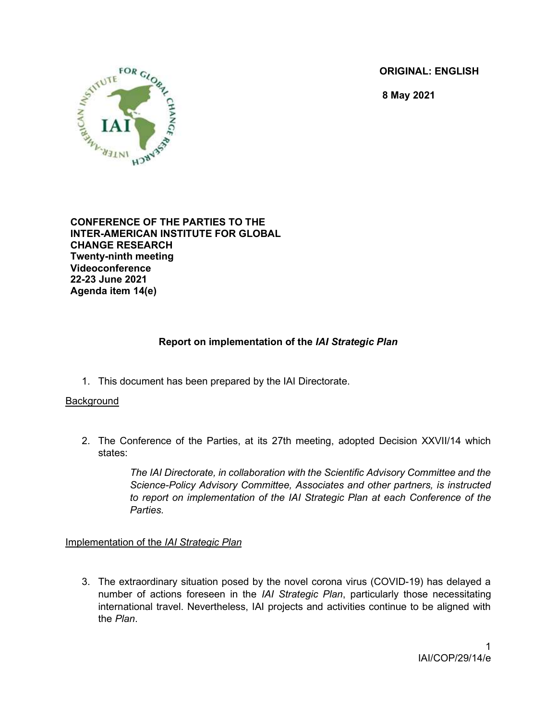ORIGINAL: ENGLISH

8 May 2021



CONFERENCE OF THE PARTIES TO THE INTER-AMERICAN INSTITUTE FOR GLOBAL CHANGE RESEARCH Twenty-ninth meeting Videoconference 22-23 June 2021 Agenda item 14(e)

# Report on implementation of the IAI Strategic Plan

1. This document has been prepared by the IAI Directorate.

## **Background**

2. The Conference of the Parties, at its 27th meeting, adopted Decision XXVII/14 which states:

> The IAI Directorate, in collaboration with the Scientific Advisory Committee and the Science-Policy Advisory Committee, Associates and other partners, is instructed to report on implementation of the IAI Strategic Plan at each Conference of the Parties.

## Implementation of the IAI Strategic Plan

3. The extraordinary situation posed by the novel corona virus (COVID-19) has delayed a number of actions foreseen in the IAI Strategic Plan, particularly those necessitating international travel. Nevertheless, IAI projects and activities continue to be aligned with the Plan.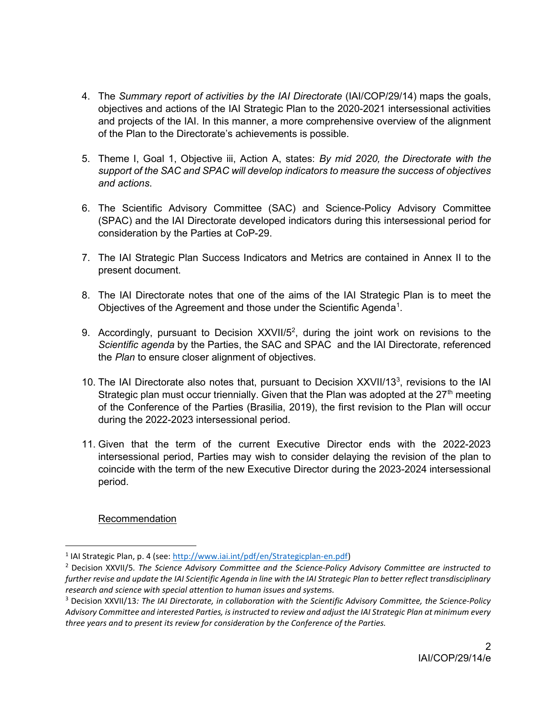- 4. The Summary report of activities by the IAI Directorate (IAI/COP/29/14) maps the goals, objectives and actions of the IAI Strategic Plan to the 2020-2021 intersessional activities and projects of the IAI. In this manner, a more comprehensive overview of the alignment of the Plan to the Directorate's achievements is possible.
- 5. Theme I, Goal 1, Objective iii, Action A, states: By mid 2020, the Directorate with the support of the SAC and SPAC will develop indicators to measure the success of objectives and actions.
- 6. The Scientific Advisory Committee (SAC) and Science-Policy Advisory Committee (SPAC) and the IAI Directorate developed indicators during this intersessional period for consideration by the Parties at CoP-29.
- 7. The IAI Strategic Plan Success Indicators and Metrics are contained in Annex II to the present document.
- 8. The IAI Directorate notes that one of the aims of the IAI Strategic Plan is to meet the Objectives of the Agreement and those under the Scientific Agenda<sup>1</sup>.
- 9. Accordingly, pursuant to Decision XXVII/5<sup>2</sup>, during the joint work on revisions to the Scientific agenda by the Parties, the SAC and SPAC and the IAI Directorate, referenced the Plan to ensure closer alignment of objectives.
- 10. The IAI Directorate also notes that, pursuant to Decision XXVII/13<sup>3</sup>, revisions to the IAI Strategic plan must occur triennially. Given that the Plan was adopted at the  $27<sup>th</sup>$  meeting of the Conference of the Parties (Brasilia, 2019), the first revision to the Plan will occur during the 2022-2023 intersessional period.
- 11. Given that the term of the current Executive Director ends with the 2022-2023 intersessional period, Parties may wish to consider delaying the revision of the plan to coincide with the term of the new Executive Director during the 2023-2024 intersessional period.

# Recommendation

<sup>&</sup>lt;sup>1</sup> IAI Strategic Plan, p. 4 (see: http://www.iai.int/pdf/en/Strategicplan-en.pdf)

<sup>&</sup>lt;sup>2</sup> Decision XXVII/5. The Science Advisory Committee and the Science-Policy Advisory Committee are instructed to further revise and update the IAI Scientific Agenda in line with the IAI Strategic Plan to better reflect transdisciplinary research and science with special attention to human issues and systems.

<sup>&</sup>lt;sup>3</sup> Decision XXVII/13: The IAI Directorate, in collaboration with the Scientific Advisory Committee, the Science-Policy Advisory Committee and interested Parties, is instructed to review and adjust the IAI Strategic Plan at minimum every three years and to present its review for consideration by the Conference of the Parties.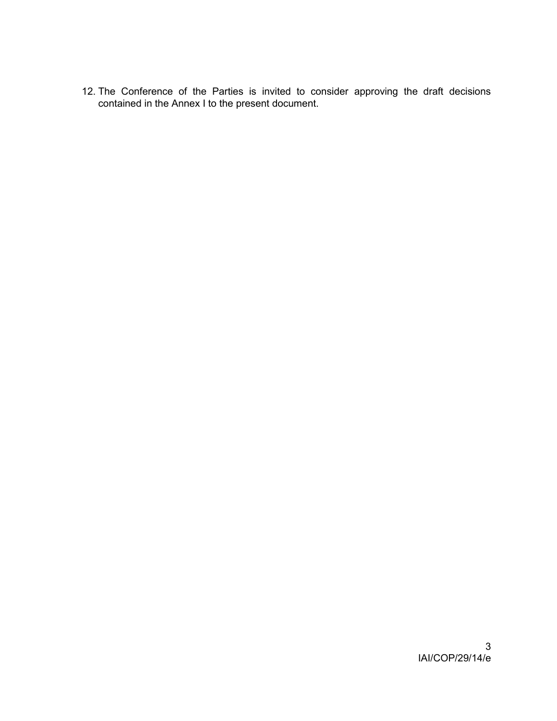12. The Conference of the Parties is invited to consider approving the draft decisions contained in the Annex I to the present document.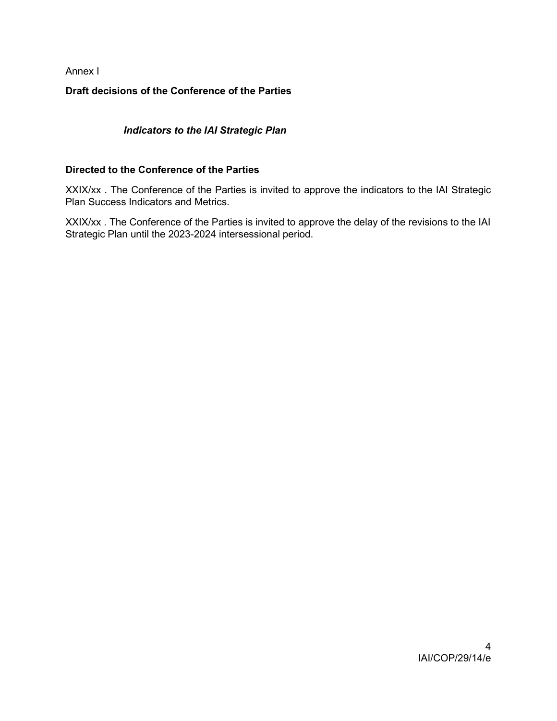# Annex I

# Draft decisions of the Conference of the Parties

# Indicators to the IAI Strategic Plan

## Directed to the Conference of the Parties

XXIX/xx . The Conference of the Parties is invited to approve the indicators to the IAI Strategic Plan Success Indicators and Metrics.

XXIX/xx . The Conference of the Parties is invited to approve the delay of the revisions to the IAI Strategic Plan until the 2023-2024 intersessional period.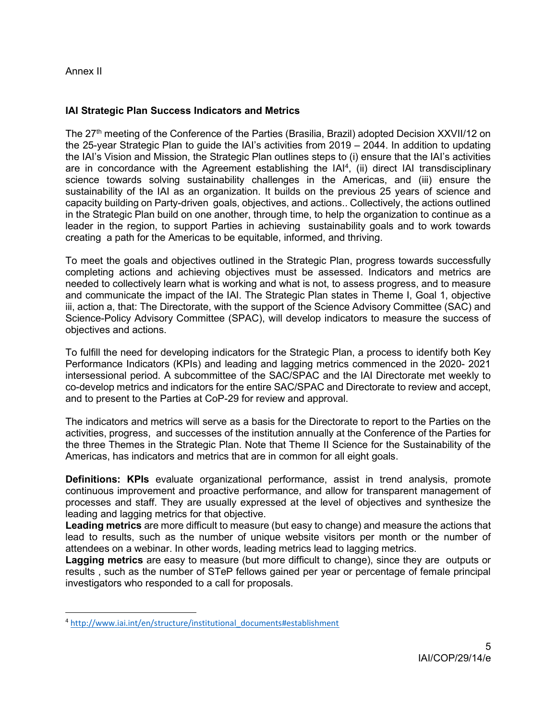## Annex II

## IAI Strategic Plan Success Indicators and Metrics

The 27<sup>th</sup> meeting of the Conference of the Parties (Brasilia, Brazil) adopted Decision XXVII/12 on the 25-year Strategic Plan to guide the IAI's activities from 2019 – 2044. In addition to updating the IAI's Vision and Mission, the Strategic Plan outlines steps to (i) ensure that the IAI's activities are in concordance with the Agreement establishing the  $IAI<sup>4</sup>$ , (ii) direct IAI transdisciplinary science towards solving sustainability challenges in the Americas, and (iii) ensure the sustainability of the IAI as an organization. It builds on the previous 25 years of science and capacity building on Party-driven goals, objectives, and actions.. Collectively, the actions outlined in the Strategic Plan build on one another, through time, to help the organization to continue as a leader in the region, to support Parties in achieving sustainability goals and to work towards creating a path for the Americas to be equitable, informed, and thriving.

To meet the goals and objectives outlined in the Strategic Plan, progress towards successfully completing actions and achieving objectives must be assessed. Indicators and metrics are needed to collectively learn what is working and what is not, to assess progress, and to measure and communicate the impact of the IAI. The Strategic Plan states in Theme I, Goal 1, objective iii, action a, that: The Directorate, with the support of the Science Advisory Committee (SAC) and Science-Policy Advisory Committee (SPAC), will develop indicators to measure the success of objectives and actions.

To fulfill the need for developing indicators for the Strategic Plan, a process to identify both Key Performance Indicators (KPIs) and leading and lagging metrics commenced in the 2020- 2021 intersessional period. A subcommittee of the SAC/SPAC and the IAI Directorate met weekly to co-develop metrics and indicators for the entire SAC/SPAC and Directorate to review and accept, and to present to the Parties at CoP-29 for review and approval.

The indicators and metrics will serve as a basis for the Directorate to report to the Parties on the activities, progress, and successes of the institution annually at the Conference of the Parties for the three Themes in the Strategic Plan. Note that Theme II Science for the Sustainability of the Americas, has indicators and metrics that are in common for all eight goals.

**Definitions: KPIs** evaluate organizational performance, assist in trend analysis, promote continuous improvement and proactive performance, and allow for transparent management of processes and staff. They are usually expressed at the level of objectives and synthesize the leading and lagging metrics for that objective.

Leading metrics are more difficult to measure (but easy to change) and measure the actions that lead to results, such as the number of unique website visitors per month or the number of attendees on a webinar. In other words, leading metrics lead to lagging metrics.

Lagging metrics are easy to measure (but more difficult to change), since they are outputs or results , such as the number of STeP fellows gained per year or percentage of female principal investigators who responded to a call for proposals.

<sup>4</sup> http://www.iai.int/en/structure/institutional\_documents#establishment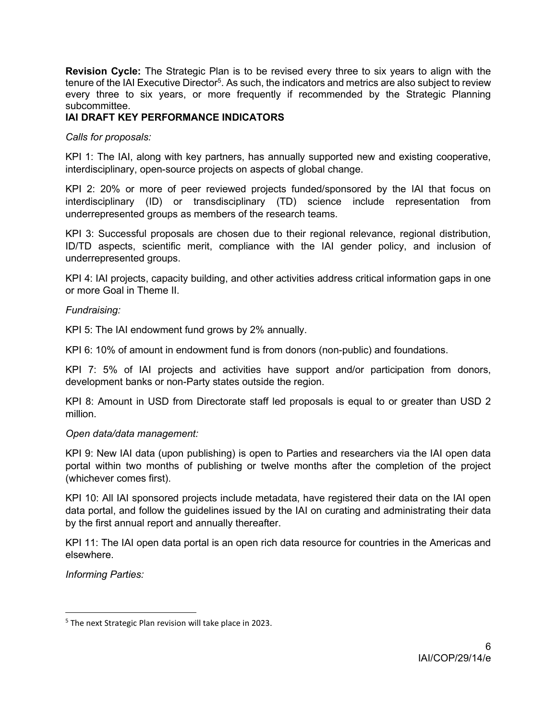Revision Cycle: The Strategic Plan is to be revised every three to six years to align with the tenure of the IAI Executive Director<sup>5</sup>. As such, the indicators and metrics are also subject to review every three to six years, or more frequently if recommended by the Strategic Planning subcommittee.

# IAI DRAFT KEY PERFORMANCE INDICATORS

Calls for proposals:

KPI 1: The IAI, along with key partners, has annually supported new and existing cooperative, interdisciplinary, open-source projects on aspects of global change.

KPI 2: 20% or more of peer reviewed projects funded/sponsored by the IAI that focus on interdisciplinary (ID) or transdisciplinary (TD) science include representation from underrepresented groups as members of the research teams.

KPI 3: Successful proposals are chosen due to their regional relevance, regional distribution, ID/TD aspects, scientific merit, compliance with the IAI gender policy, and inclusion of underrepresented groups.

KPI 4: IAI projects, capacity building, and other activities address critical information gaps in one or more Goal in Theme II.

## Fundraising:

KPI 5: The IAI endowment fund grows by 2% annually.

KPI 6: 10% of amount in endowment fund is from donors (non-public) and foundations.

KPI 7: 5% of IAI projects and activities have support and/or participation from donors, development banks or non-Party states outside the region.

KPI 8: Amount in USD from Directorate staff led proposals is equal to or greater than USD 2 million.

#### Open data/data management:

KPI 9: New IAI data (upon publishing) is open to Parties and researchers via the IAI open data portal within two months of publishing or twelve months after the completion of the project (whichever comes first).

KPI 10: All IAI sponsored projects include metadata, have registered their data on the IAI open data portal, and follow the guidelines issued by the IAI on curating and administrating their data by the first annual report and annually thereafter.

KPI 11: The IAI open data portal is an open rich data resource for countries in the Americas and elsewhere.

Informing Parties:

<sup>&</sup>lt;sup>5</sup> The next Strategic Plan revision will take place in 2023.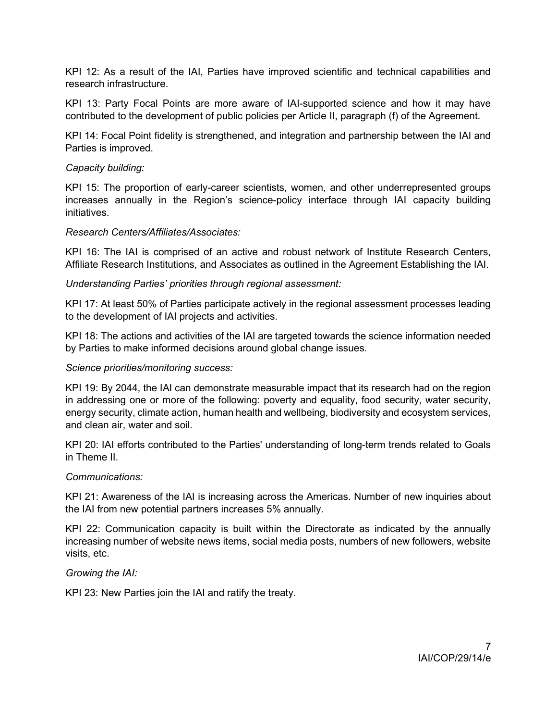KPI 12: As a result of the IAI, Parties have improved scientific and technical capabilities and research infrastructure.

KPI 13: Party Focal Points are more aware of IAI-supported science and how it may have contributed to the development of public policies per Article II, paragraph (f) of the Agreement.

KPI 14: Focal Point fidelity is strengthened, and integration and partnership between the IAI and Parties is improved.

### Capacity building:

KPI 15: The proportion of early-career scientists, women, and other underrepresented groups increases annually in the Region's science-policy interface through IAI capacity building initiatives.

#### Research Centers/Affiliates/Associates:

KPI 16: The IAI is comprised of an active and robust network of Institute Research Centers, Affiliate Research Institutions, and Associates as outlined in the Agreement Establishing the IAI.

## Understanding Parties' priorities through regional assessment:

KPI 17: At least 50% of Parties participate actively in the regional assessment processes leading to the development of IAI projects and activities.

KPI 18: The actions and activities of the IAI are targeted towards the science information needed by Parties to make informed decisions around global change issues.

#### Science priorities/monitoring success:

KPI 19: By 2044, the IAI can demonstrate measurable impact that its research had on the region in addressing one or more of the following: poverty and equality, food security, water security, energy security, climate action, human health and wellbeing, biodiversity and ecosystem services, and clean air, water and soil.

KPI 20: IAI efforts contributed to the Parties' understanding of long-term trends related to Goals in Theme II.

#### Communications:

KPI 21: Awareness of the IAI is increasing across the Americas. Number of new inquiries about the IAI from new potential partners increases 5% annually.

KPI 22: Communication capacity is built within the Directorate as indicated by the annually increasing number of website news items, social media posts, numbers of new followers, website visits, etc.

#### Growing the IAI:

KPI 23: New Parties join the IAI and ratify the treaty.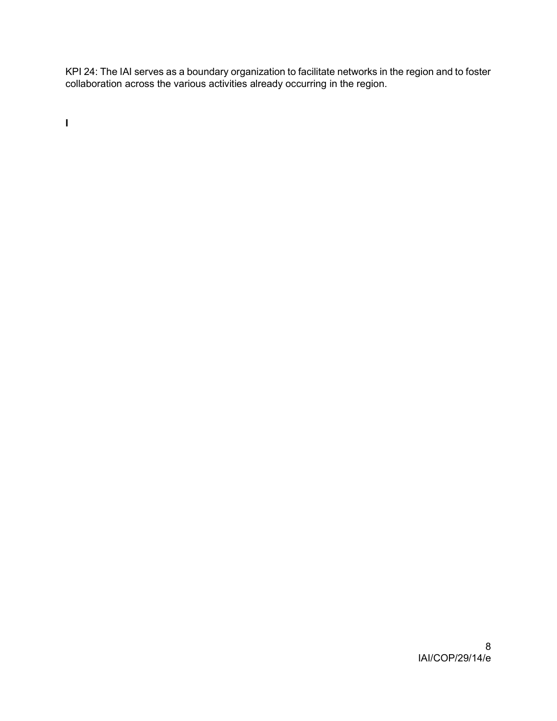KPI 24: The IAI serves as a boundary organization to facilitate networks in the region and to foster collaboration across the various activities already occurring in the region.

I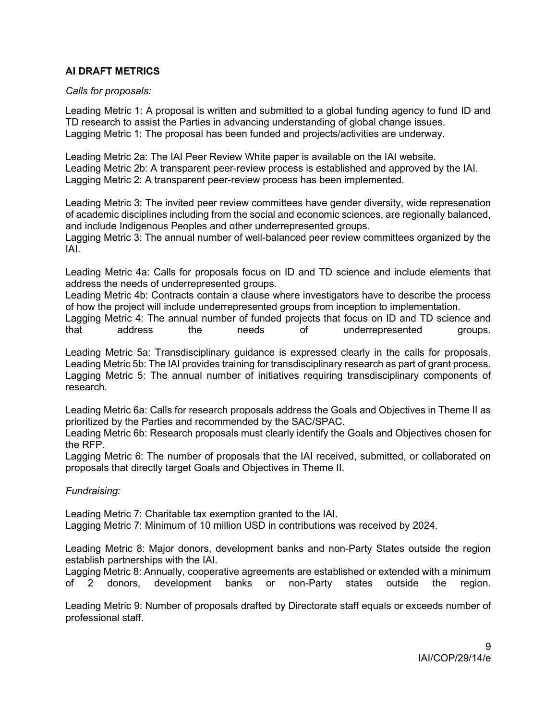# AI DRAFT METRICS

## Calls for proposals:

Leading Metric 1: A proposal is written and submitted to a global funding agency to fund ID and TD research to assist the Parties in advancing understanding of global change issues. Lagging Metric 1: The proposal has been funded and projects/activities are underway.

Leading Metric 2a: The IAI Peer Review White paper is available on the IAI website. Leading Metric 2b: A transparent peer-review process is established and approved by the IAI. Lagging Metric 2: A transparent peer-review process has been implemented.

Leading Metric 3: The invited peer review committees have gender diversity, wide represenation of academic disciplines including from the social and economic sciences, are regionally balanced, and include Indigenous Peoples and other underrepresented groups.

Lagging Metric 3: The annual number of well-balanced peer review committees organized by the IAI.

Leading Metric 4a: Calls for proposals focus on ID and TD science and include elements that address the needs of underrepresented groups.

Leading Metric 4b: Contracts contain a clause where investigators have to describe the process of how the project will include underrepresented groups from inception to implementation.

Lagging Metric 4: The annual number of funded projects that focus on ID and TD science and that address the needs of underrepresented groups.

Leading Metric 5a: Transdisciplinary guidance is expressed clearly in the calls for proposals. Leading Metric 5b: The IAI provides training for transdisciplinary research as part of grant process. Lagging Metric 5: The annual number of initiatives requiring transdisciplinary components of research.

Leading Metric 6a: Calls for research proposals address the Goals and Objectives in Theme II as prioritized by the Parties and recommended by the SAC/SPAC.

Leading Metric 6b: Research proposals must clearly identify the Goals and Objectives chosen for the RFP.

Lagging Metric 6: The number of proposals that the IAI received, submitted, or collaborated on proposals that directly target Goals and Objectives in Theme II.

Fundraising:

Leading Metric 7: Charitable tax exemption granted to the IAI.

Lagging Metric 7: Minimum of 10 million USD in contributions was received by 2024.

Leading Metric 8: Major donors, development banks and non-Party States outside the region establish partnerships with the IAI.

Lagging Metric 8: Annually, cooperative agreements are established or extended with a minimum of 2 donors, development banks or non-Party states outside the region.

Leading Metric 9: Number of proposals drafted by Directorate staff equals or exceeds number of professional staff.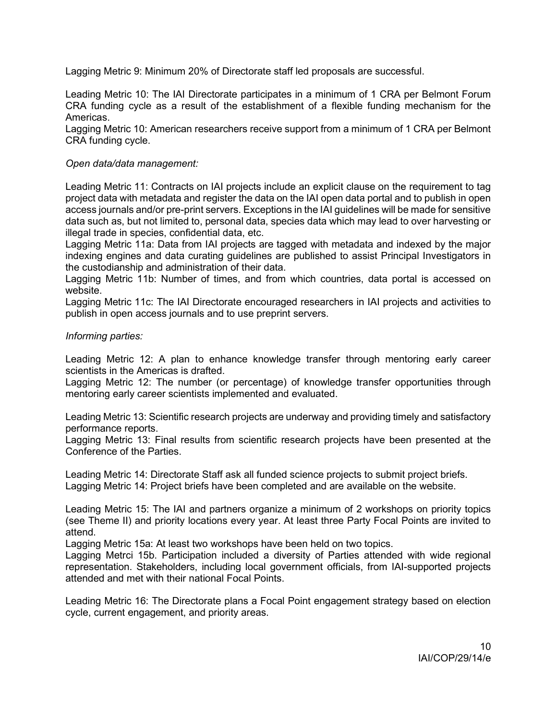Lagging Metric 9: Minimum 20% of Directorate staff led proposals are successful.

Leading Metric 10: The IAI Directorate participates in a minimum of 1 CRA per Belmont Forum CRA funding cycle as a result of the establishment of a flexible funding mechanism for the Americas.

Lagging Metric 10: American researchers receive support from a minimum of 1 CRA per Belmont CRA funding cycle.

### Open data/data management:

Leading Metric 11: Contracts on IAI projects include an explicit clause on the requirement to tag project data with metadata and register the data on the IAI open data portal and to publish in open access journals and/or pre-print servers. Exceptions in the IAI guidelines will be made for sensitive data such as, but not limited to, personal data, species data which may lead to over harvesting or illegal trade in species, confidential data, etc.

Lagging Metric 11a: Data from IAI projects are tagged with metadata and indexed by the major indexing engines and data curating guidelines are published to assist Principal Investigators in the custodianship and administration of their data.

Lagging Metric 11b: Number of times, and from which countries, data portal is accessed on website.

Lagging Metric 11c: The IAI Directorate encouraged researchers in IAI projects and activities to publish in open access journals and to use preprint servers.

## Informing parties:

Leading Metric 12: A plan to enhance knowledge transfer through mentoring early career scientists in the Americas is drafted.

Lagging Metric 12: The number (or percentage) of knowledge transfer opportunities through mentoring early career scientists implemented and evaluated.

Leading Metric 13: Scientific research projects are underway and providing timely and satisfactory performance reports.

Lagging Metric 13: Final results from scientific research projects have been presented at the Conference of the Parties.

Leading Metric 14: Directorate Staff ask all funded science projects to submit project briefs. Lagging Metric 14: Project briefs have been completed and are available on the website.

Leading Metric 15: The IAI and partners organize a minimum of 2 workshops on priority topics (see Theme II) and priority locations every year. At least three Party Focal Points are invited to attend.

Lagging Metric 15a: At least two workshops have been held on two topics.

Lagging Metrci 15b. Participation included a diversity of Parties attended with wide regional representation. Stakeholders, including local government officials, from IAI-supported projects attended and met with their national Focal Points.

Leading Metric 16: The Directorate plans a Focal Point engagement strategy based on election cycle, current engagement, and priority areas.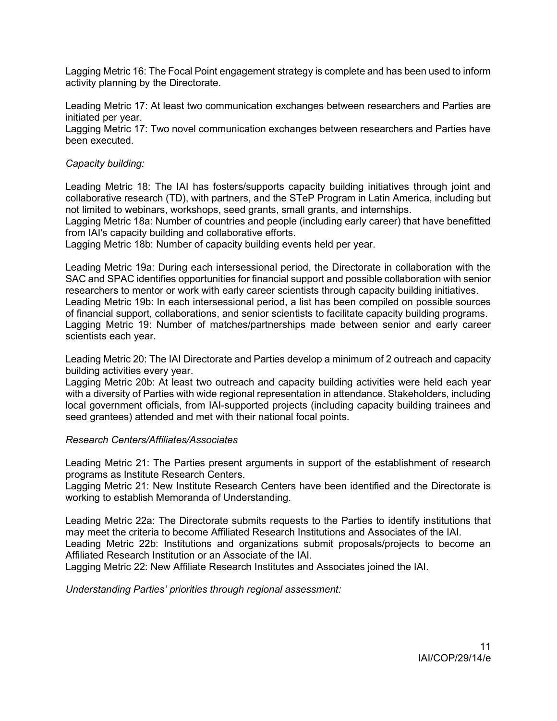Lagging Metric 16: The Focal Point engagement strategy is complete and has been used to inform activity planning by the Directorate.

Leading Metric 17: At least two communication exchanges between researchers and Parties are initiated per year.

Lagging Metric 17: Two novel communication exchanges between researchers and Parties have been executed.

## Capacity building:

Leading Metric 18: The IAI has fosters/supports capacity building initiatives through joint and collaborative research (TD), with partners, and the STeP Program in Latin America, including but not limited to webinars, workshops, seed grants, small grants, and internships.

Lagging Metric 18a: Number of countries and people (including early career) that have benefitted from IAI's capacity building and collaborative efforts.

Lagging Metric 18b: Number of capacity building events held per year.

Leading Metric 19a: During each intersessional period, the Directorate in collaboration with the SAC and SPAC identifies opportunities for financial support and possible collaboration with senior researchers to mentor or work with early career scientists through capacity building initiatives. Leading Metric 19b: In each intersessional period, a list has been compiled on possible sources of financial support, collaborations, and senior scientists to facilitate capacity building programs. Lagging Metric 19: Number of matches/partnerships made between senior and early career scientists each year.

Leading Metric 20: The IAI Directorate and Parties develop a minimum of 2 outreach and capacity building activities every year.

Lagging Metric 20b: At least two outreach and capacity building activities were held each year with a diversity of Parties with wide regional representation in attendance. Stakeholders, including local government officials, from IAI-supported projects (including capacity building trainees and seed grantees) attended and met with their national focal points.

#### Research Centers/Affiliates/Associates

Leading Metric 21: The Parties present arguments in support of the establishment of research programs as Institute Research Centers.

Lagging Metric 21: New Institute Research Centers have been identified and the Directorate is working to establish Memoranda of Understanding.

Leading Metric 22a: The Directorate submits requests to the Parties to identify institutions that may meet the criteria to become Affiliated Research Institutions and Associates of the IAI. Leading Metric 22b: Institutions and organizations submit proposals/projects to become an Affiliated Research Institution or an Associate of the IAI.

Lagging Metric 22: New Affiliate Research Institutes and Associates joined the IAI.

Understanding Parties' priorities through regional assessment: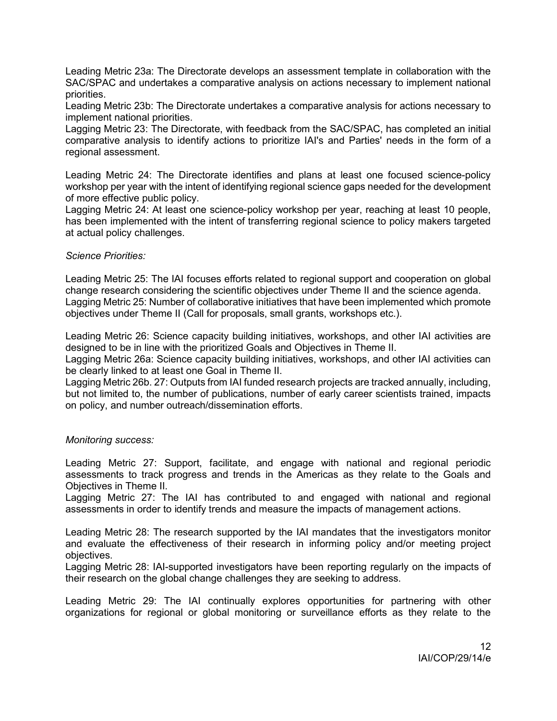Leading Metric 23a: The Directorate develops an assessment template in collaboration with the SAC/SPAC and undertakes a comparative analysis on actions necessary to implement national priorities.

Leading Metric 23b: The Directorate undertakes a comparative analysis for actions necessary to implement national priorities.

Lagging Metric 23: The Directorate, with feedback from the SAC/SPAC, has completed an initial comparative analysis to identify actions to prioritize IAI's and Parties' needs in the form of a regional assessment.

Leading Metric 24: The Directorate identifies and plans at least one focused science-policy workshop per year with the intent of identifying regional science gaps needed for the development of more effective public policy.

Lagging Metric 24: At least one science-policy workshop per year, reaching at least 10 people, has been implemented with the intent of transferring regional science to policy makers targeted at actual policy challenges.

#### Science Priorities:

Leading Metric 25: The IAI focuses efforts related to regional support and cooperation on global change research considering the scientific objectives under Theme II and the science agenda. Lagging Metric 25: Number of collaborative initiatives that have been implemented which promote objectives under Theme II (Call for proposals, small grants, workshops etc.).

Leading Metric 26: Science capacity building initiatives, workshops, and other IAI activities are designed to be in line with the prioritized Goals and Objectives in Theme II.

Lagging Metric 26a: Science capacity building initiatives, workshops, and other IAI activities can be clearly linked to at least one Goal in Theme II.

Lagging Metric 26b. 27: Outputs from IAI funded research projects are tracked annually, including, but not limited to, the number of publications, number of early career scientists trained, impacts on policy, and number outreach/dissemination efforts.

#### Monitoring success:

Leading Metric 27: Support, facilitate, and engage with national and regional periodic assessments to track progress and trends in the Americas as they relate to the Goals and Objectives in Theme II.

Lagging Metric 27: The IAI has contributed to and engaged with national and regional assessments in order to identify trends and measure the impacts of management actions.

Leading Metric 28: The research supported by the IAI mandates that the investigators monitor and evaluate the effectiveness of their research in informing policy and/or meeting project objectives.

Lagging Metric 28: IAI-supported investigators have been reporting regularly on the impacts of their research on the global change challenges they are seeking to address.

Leading Metric 29: The IAI continually explores opportunities for partnering with other organizations for regional or global monitoring or surveillance efforts as they relate to the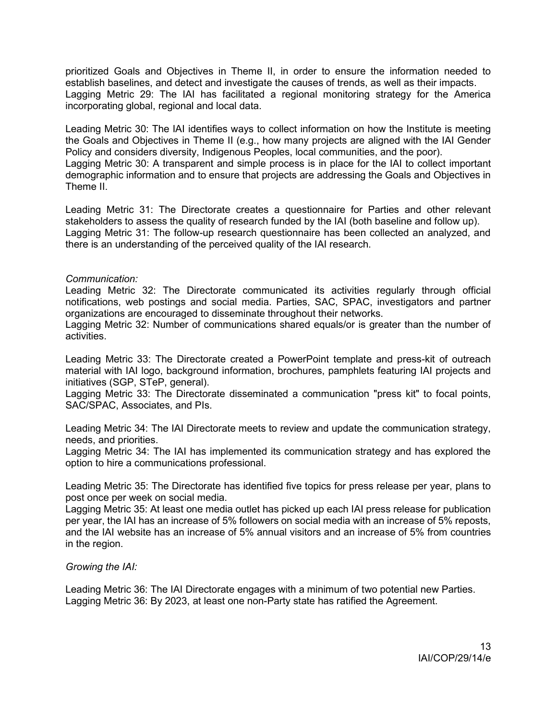prioritized Goals and Objectives in Theme II, in order to ensure the information needed to establish baselines, and detect and investigate the causes of trends, as well as their impacts. Lagging Metric 29: The IAI has facilitated a regional monitoring strategy for the America incorporating global, regional and local data.

Leading Metric 30: The IAI identifies ways to collect information on how the Institute is meeting the Goals and Objectives in Theme II (e.g., how many projects are aligned with the IAI Gender Policy and considers diversity, Indigenous Peoples, local communities, and the poor). Lagging Metric 30: A transparent and simple process is in place for the IAI to collect important

demographic information and to ensure that projects are addressing the Goals and Objectives in Theme II.

Leading Metric 31: The Directorate creates a questionnaire for Parties and other relevant stakeholders to assess the quality of research funded by the IAI (both baseline and follow up). Lagging Metric 31: The follow-up research questionnaire has been collected an analyzed, and there is an understanding of the perceived quality of the IAI research.

## Communication:

Leading Metric 32: The Directorate communicated its activities regularly through official notifications, web postings and social media. Parties, SAC, SPAC, investigators and partner organizations are encouraged to disseminate throughout their networks.

Lagging Metric 32: Number of communications shared equals/or is greater than the number of activities.

Leading Metric 33: The Directorate created a PowerPoint template and press-kit of outreach material with IAI logo, background information, brochures, pamphlets featuring IAI projects and initiatives (SGP, STeP, general).

Lagging Metric 33: The Directorate disseminated a communication "press kit" to focal points, SAC/SPAC, Associates, and PIs.

Leading Metric 34: The IAI Directorate meets to review and update the communication strategy, needs, and priorities.

Lagging Metric 34: The IAI has implemented its communication strategy and has explored the option to hire a communications professional.

Leading Metric 35: The Directorate has identified five topics for press release per year, plans to post once per week on social media.

Lagging Metric 35: At least one media outlet has picked up each IAI press release for publication per year, the IAI has an increase of 5% followers on social media with an increase of 5% reposts, and the IAI website has an increase of 5% annual visitors and an increase of 5% from countries in the region.

## Growing the IAI:

Leading Metric 36: The IAI Directorate engages with a minimum of two potential new Parties. Lagging Metric 36: By 2023, at least one non-Party state has ratified the Agreement.